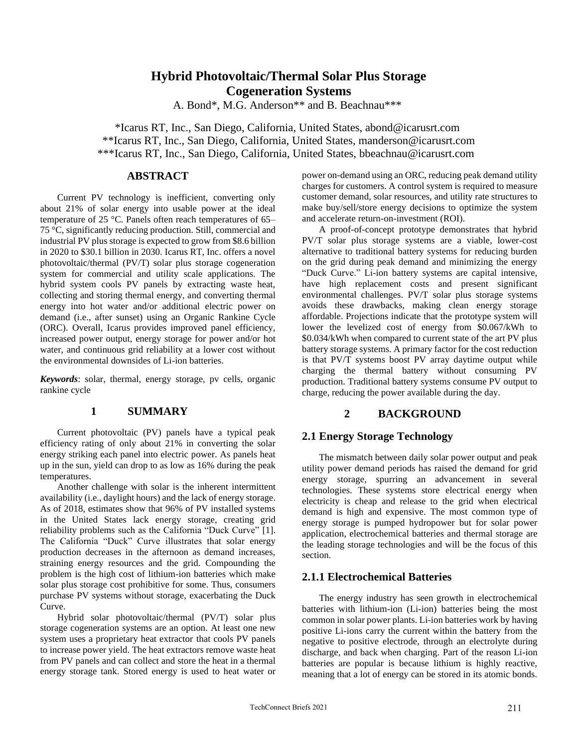# **Hybrid Photovoltaic/Thermal Solar Plus Storage Cogeneration Systems**

A. Bond\*, M.G. Anderson\*\* and B. Beachnau\*\*\*

\*Icarus RT, Inc., San Diego, California, United States, abond@icarusrt.com \*\*Icarus RT, Inc., San Diego, California, United States, manderson@icarusrt.com \*\*\*Icarus RT, Inc., San Diego, California, United States, bbeachnau@icarusrt.com

## **ABSTRACT**

Current PV technology is inefficient, converting only about 21% of solar energy into usable power at the ideal temperature of 25 °C. Panels often reach temperatures of 65– 75 °C, significantly reducing production. Still, commercial and industrial PV plus storage is expected to grow from \$8.6 billion in 2020 to \$30.1 billion in 2030. Icarus RT, Inc. offers a novel photovoltaic/thermal (PV/T) solar plus storage cogeneration system for commercial and utility scale applications. The hybrid system cools PV panels by extracting waste heat, collecting and storing thermal energy, and converting thermal energy into hot water and/or additional electric power on demand (i.e., after sunset) using an Organic Rankine Cycle (ORC). Overall, Icarus provides improved panel efficiency, increased power output, energy storage for power and/or hot water, and continuous grid reliability at a lower cost without the environmental downsides of Li-ion batteries.

*Keywords*: solar, thermal, energy storage, pv cells, organic rankine cycle

# **1 SUMMARY**

Current photovoltaic (PV) panels have a typical peak efficiency rating of only about 21% in converting the solar energy striking each panel into electric power. As panels heat up in the sun, yield can drop to as low as 16% during the peak temperatures.

Another challenge with solar is the inherent intermittent availability (i.e., daylight hours) and the lack of energy storage. As of 2018, estimates show that 96% of PV installed systems in the United States lack energy storage, creating grid reliability problems such as the California "Duck Curve" [1]. The California "Duck" Curve illustrates that solar energy production decreases in the afternoon as demand increases, straining energy resources and the grid. Compounding the problem is the high cost of lithium-ion batteries which make solar plus storage cost prohibitive for some. Thus, consumers purchase PV systems without storage, exacerbating the Duck Curve.

Hybrid solar photovoltaic/thermal (PV/T) solar plus storage cogeneration systems are an option. At least one new system uses a proprietary heat extractor that cools PV panels to increase power yield. The heat extractors remove waste heat from PV panels and can collect and store the heat in a thermal energy storage tank. Stored energy is used to heat water or

power on-demand using an ORC, reducing peak demand utility charges for customers. A control system is required to measure customer demand, solar resources, and utility rate structures to make buy/sell/store energy decisions to optimize the system and accelerate return-on-investment (ROI).

A proof-of-concept prototype demonstrates that hybrid PV/T solar plus storage systems are a viable, lower-cost alternative to traditional battery systems for reducing burden on the grid during peak demand and minimizing the energy "Duck Curve." Li-ion battery systems are capital intensive, have high replacement costs and present significant environmental challenges. PV/T solar plus storage systems avoids these drawbacks, making clean energy storage affordable. Projections indicate that the prototype system will lower the levelized cost of energy from \$0.067/kWh to \$0.034/kWh when compared to current state of the art PV plus battery storage systems. A primary factor for the cost reduction is that PV/T systems boost PV array daytime output while charging the thermal battery without consuming PV production. Traditional battery systems consume PV output to charge, reducing the power available during the day.

# **2 BACKGROUND**

## **2.1 Energy Storage Technology**

The mismatch between daily solar power output and peak utility power demand periods has raised the demand for grid energy storage, spurring an advancement in several technologies. These systems store electrical energy when electricity is cheap and release to the grid when electrical demand is high and expensive. The most common type of energy storage is pumped hydropower but for solar power application, electrochemical batteries and thermal storage are the leading storage technologies and will be the focus of this section.

#### **2.1.1 Electrochemical Batteries**

The energy industry has seen growth in electrochemical batteries with lithium-ion (Li-ion) batteries being the most common in solar power plants. Li-ion batteries work by having positive Li-ions carry the current within the battery from the negative to positive electrode, through an electrolyte during discharge, and back when charging. Part of the reason Li-ion batteries are popular is because lithium is highly reactive, meaning that a lot of energy can be stored in its atomic bonds.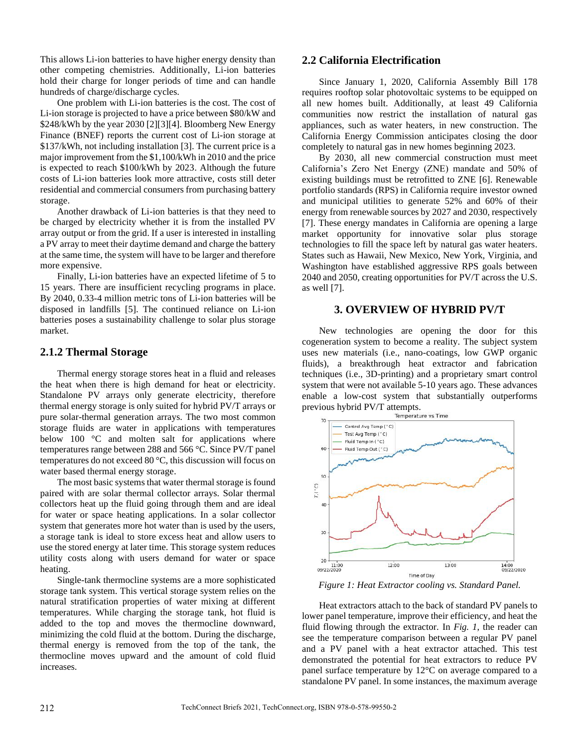This allows Li-ion batteries to have higher energy density than other competing chemistries. Additionally, Li-ion batteries hold their charge for longer periods of time and can handle hundreds of charge/discharge cycles.

One problem with Li-ion batteries is the cost. The cost of Li-ion storage is projected to have a price between \$80/kW and \$248/kWh by the year 2030 [2][3][4]. Bloomberg New Energy Finance (BNEF) reports the current cost of Li-ion storage at \$137/kWh, not including installation [3]. The current price is a major improvement from the \$1,100/kWh in 2010 and the price is expected to reach \$100/kWh by 2023. Although the future costs of Li-ion batteries look more attractive, costs still deter residential and commercial consumers from purchasing battery storage.

Another drawback of Li-ion batteries is that they need to be charged by electricity whether it is from the installed PV array output or from the grid. If a user is interested in installing a PV array to meet their daytime demand and charge the battery at the same time, the system will have to be larger and therefore more expensive.

Finally, Li-ion batteries have an expected lifetime of 5 to 15 years. There are insufficient recycling programs in place. By 2040, 0.33-4 million metric tons of Li-ion batteries will be disposed in landfills [5]. The continued reliance on Li-ion batteries poses a sustainability challenge to solar plus storage market.

## **2.1.2 Thermal Storage**

Thermal energy storage stores heat in a fluid and releases the heat when there is high demand for heat or electricity. Standalone PV arrays only generate electricity, therefore thermal energy storage is only suited for hybrid PV/T arrays or pure solar-thermal generation arrays. The two most common storage fluids are water in applications with temperatures below 100 °C and molten salt for applications where temperatures range between 288 and 566 °C. Since PV/T panel temperatures do not exceed 80 °C, this discussion will focus on water based thermal energy storage.

The most basic systems that water thermal storage is found paired with are solar thermal collector arrays. Solar thermal collectors heat up the fluid going through them and are ideal for water or space heating applications. In a solar collector system that generates more hot water than is used by the users, a storage tank is ideal to store excess heat and allow users to use the stored energy at later time. This storage system reduces utility costs along with users demand for water or space heating.

Single-tank thermocline systems are a more sophisticated storage tank system. This vertical storage system relies on the natural stratification properties of water mixing at different temperatures. While charging the storage tank, hot fluid is added to the top and moves the thermocline downward, minimizing the cold fluid at the bottom. During the discharge, thermal energy is removed from the top of the tank, the thermocline moves upward and the amount of cold fluid increases.

## **2.2 California Electrification**

Since January 1, 2020, California Assembly Bill 178 requires rooftop solar photovoltaic systems to be equipped on all new homes built. Additionally, at least 49 California communities now restrict the installation of natural gas appliances, such as water heaters, in new construction. The California Energy Commission anticipates closing the door completely to natural gas in new homes beginning 2023.

By 2030, all new commercial construction must meet California's Zero Net Energy (ZNE) mandate and 50% of existing buildings must be retrofitted to ZNE [6]. Renewable portfolio standards (RPS) in California require investor owned and municipal utilities to generate 52% and 60% of their energy from renewable sources by 2027 and 2030, respectively [7]. These energy mandates in California are opening a large market opportunity for innovative solar plus storage technologies to fill the space left by natural gas water heaters. States such as Hawaii, New Mexico, New York, Virginia, and Washington have established aggressive RPS goals between 2040 and 2050, creating opportunities for PV/T across the U.S. as well [7].

#### **3. OVERVIEW OF HYBRID PV/T**

New technologies are opening the door for this cogeneration system to become a reality. The subject system uses new materials (i.e., nano-coatings, low GWP organic fluids), a breakthrough heat extractor and fabrication techniques (i.e., 3D-printing) and a proprietary smart control system that were not available 5-10 years ago. These advances enable a low-cost system that substantially outperforms previous hybrid PV/T attempts.



*Figure 1: Heat Extractor cooling vs. Standard Panel.*

Heat extractors attach to the back of standard PV panels to lower panel temperature, improve their efficiency, and heat the fluid flowing through the extractor. In *Fig. 1*, the reader can see the temperature comparison between a regular PV panel and a PV panel with a heat extractor attached. This test demonstrated the potential for heat extractors to reduce PV panel surface temperature by 12°C on average compared to a standalone PV panel. In some instances, the maximum average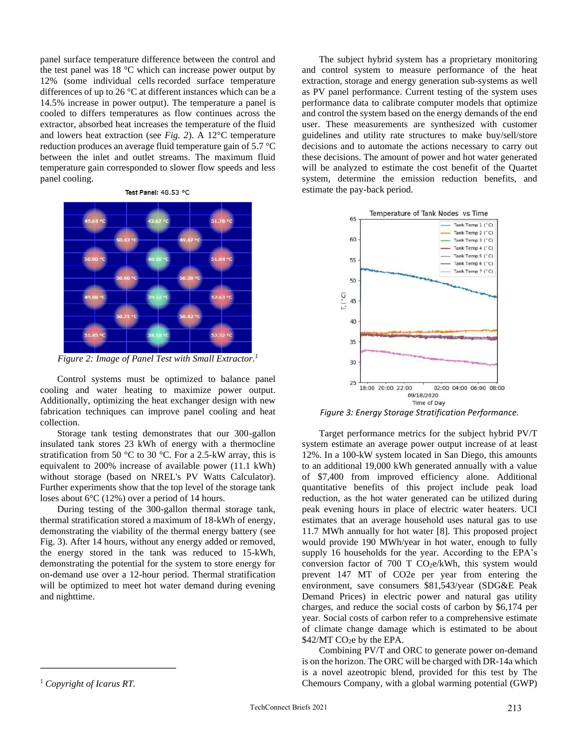panel surface temperature difference between the control and the test panel was 18 °C which can increase power output by 12% (some individual cells recorded surface temperature differences of up to 26 °C at different instances which can be a 14.5% increase in power output). The temperature a panel is cooled to differs temperatures as flow continues across the extractor, absorbed heat increases the temperature of the fluid and lowers heat extraction (see *Fig. 2*). A 12°C temperature reduction produces an average fluid temperature gain of 5.7 °C between the inlet and outlet streams. The maximum fluid temperature gain corresponded to slower flow speeds and less panel cooling.





*Figure 2: Image of Panel Test with Small Extractor. 1*

Control systems must be optimized to balance panel cooling and water heating to maximize power output. Additionally, optimizing the heat exchanger design with new fabrication techniques can improve panel cooling and heat collection.

Storage tank testing demonstrates that our 300-gallon insulated tank stores 23 kWh of energy with a thermocline stratification from 50 °C to 30 °C. For a 2.5-kW array, this is equivalent to 200% increase of available power (11.1 kWh) without storage (based on NREL's PV Watts Calculator). Further experiments show that the top level of the storage tank loses about 6°C (12%) over a period of 14 hours.

During testing of the 300-gallon thermal storage tank, thermal stratification stored a maximum of 18-kWh of energy, demonstrating the viability of the thermal energy battery (see Fig. 3). After 14 hours, without any energy added or removed, the energy stored in the tank was reduced to 15-kWh, demonstrating the potential for the system to store energy for on-demand use over a 12-hour period. Thermal stratification will be optimized to meet hot water demand during evening and nighttime.

The subject hybrid system has a proprietary monitoring and control system to measure performance of the heat extraction, storage and energy generation sub-systems as well as PV panel performance. Current testing of the system uses performance data to calibrate computer models that optimize and control the system based on the energy demands of the end user. These measurements are synthesized with customer guidelines and utility rate structures to make buy/sell/store decisions and to automate the actions necessary to carry out these decisions. The amount of power and hot water generated will be analyzed to estimate the cost benefit of the Quartet system, determine the emission reduction benefits, and estimate the pay-back period.



*Figure 3: Energy Storage Stratification Performance.*

Target performance metrics for the subject hybrid PV/T system estimate an average power output increase of at least 12%. In a 100-kW system located in San Diego, this amounts to an additional 19,000 kWh generated annually with a value of \$7,400 from improved efficiency alone. Additional quantitative benefits of this project include peak load reduction, as the hot water generated can be utilized during peak evening hours in place of electric water heaters. UCI estimates that an average household uses natural gas to use 11.7 MWh annually for hot water [8]. This proposed project would provide 190 MWh/year in hot water, enough to fully supply 16 households for the year. According to the EPA's conversion factor of 700 T  $CO<sub>2</sub>e/kWh$ , this system would prevent 147 MT of CO2e per year from entering the environment, save consumers \$81,543/year (SDG&E Peak Demand Prices) in electric power and natural gas utility charges, and reduce the social costs of carbon by \$6,174 per year. Social costs of carbon refer to a comprehensive estimate of climate change damage which is estimated to be about  $$42/MT$  CO<sub>2</sub>e by the EPA.

Combining PV/T and ORC to generate power on-demand is on the horizon. The ORC will be charged with DR-14a which is a novel azeotropic blend, provided for this test by The Chemours Company, with a global warming potential (GWP)

<sup>1</sup> *Copyright of Icarus RT.*